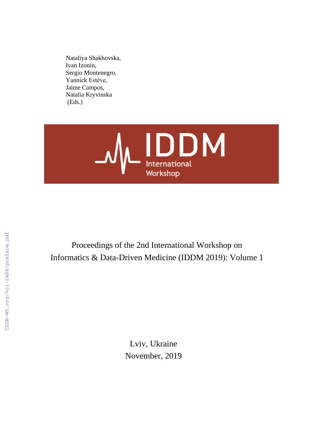Nataliya Shakhovska, Ivan Izonin, Sergio Montenegro, Yannick Estève, Jaime Campos, Natalia Kryvinska (Eds.)



Proceedings of the 2nd International Workshop on Informatics & Data-Driven Medicine (IDDM 2019): Volume 1

> Lviv, Ukraine November, 2019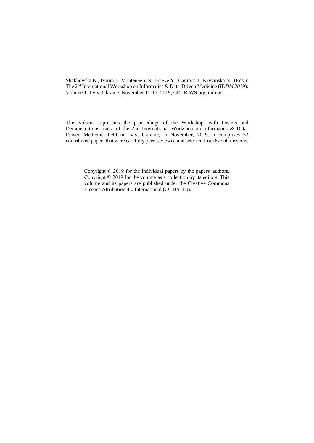Shakhovska N., Izonin I., Montenegro S., Estève Y., Campos J., Kryvinska N., (Eds.): The 2<sup>nd</sup> International Workshop on Informatics & Data-Driven Medicine (*IDDM 2019*): Volume 1. Lviv, Ukraine, November 11-13, 2019, CEUR-WS.org, online

This volume represents the proceedings of the Workshop, with Posters and Demonstrations track, of the 2nd International Workshop on Informatics & Data-Driven Medicine, held in Lviv, Ukraine, in November, 2019. It comprises 33 contributed papers that were carefully peer-reviewed and selected from 67 submissions.

> Copyright © 2019 for the individual papers by the papers' authors. Copyright © 2019 for the volume as a collection by its editors. This volume and its papers are published under the Creative Commons License Attribution 4.0 International (CC BY 4.0).